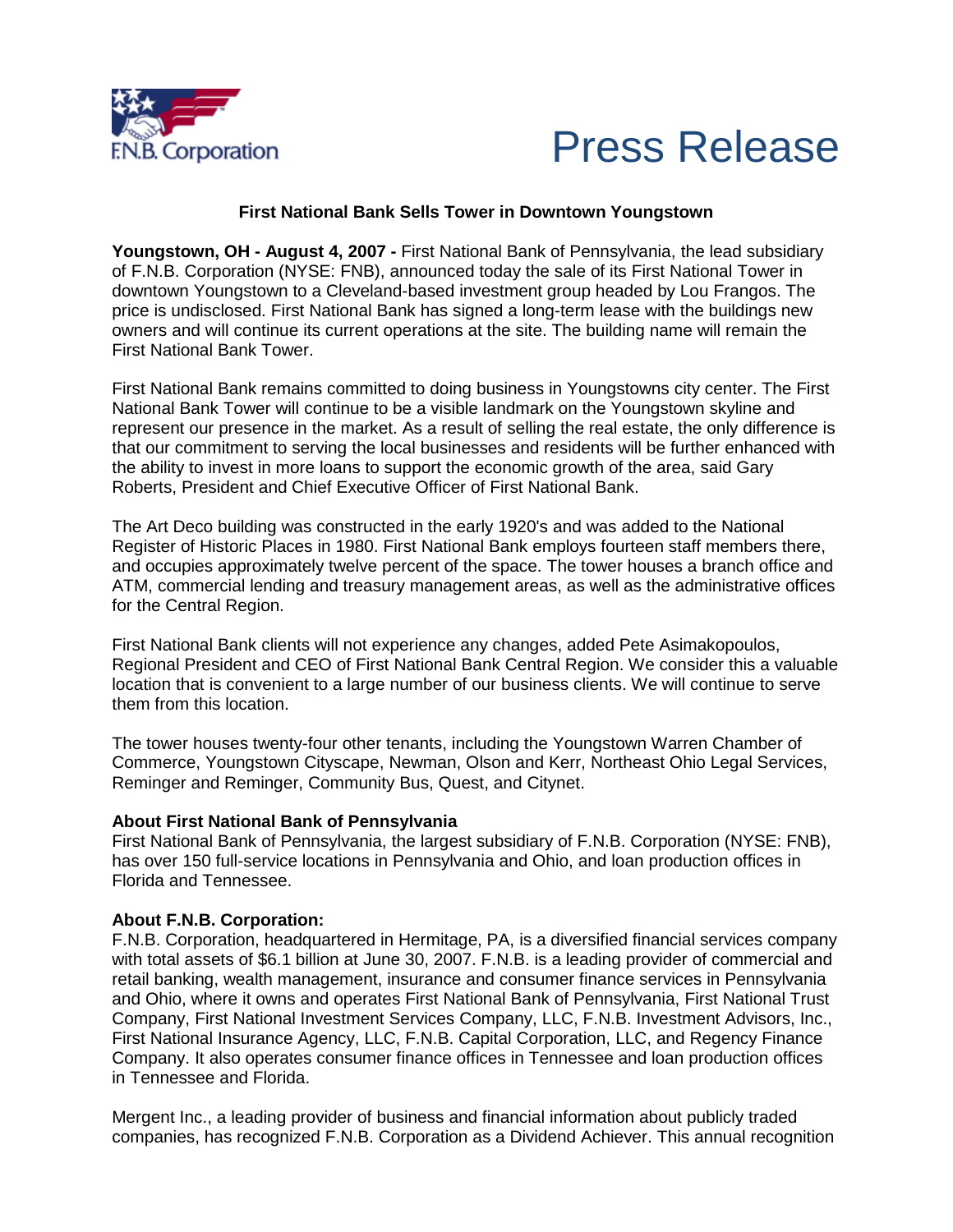

## Press Release

## **First National Bank Sells Tower in Downtown Youngstown**

**Youngstown, OH - August 4, 2007 -** First National Bank of Pennsylvania, the lead subsidiary of F.N.B. Corporation (NYSE: FNB), announced today the sale of its First National Tower in downtown Youngstown to a Cleveland-based investment group headed by Lou Frangos. The price is undisclosed. First National Bank has signed a long-term lease with the buildings new owners and will continue its current operations at the site. The building name will remain the First National Bank Tower.

First National Bank remains committed to doing business in Youngstowns city center. The First National Bank Tower will continue to be a visible landmark on the Youngstown skyline and represent our presence in the market. As a result of selling the real estate, the only difference is that our commitment to serving the local businesses and residents will be further enhanced with the ability to invest in more loans to support the economic growth of the area, said Gary Roberts, President and Chief Executive Officer of First National Bank.

The Art Deco building was constructed in the early 1920's and was added to the National Register of Historic Places in 1980. First National Bank employs fourteen staff members there, and occupies approximately twelve percent of the space. The tower houses a branch office and ATM, commercial lending and treasury management areas, as well as the administrative offices for the Central Region.

First National Bank clients will not experience any changes, added Pete Asimakopoulos, Regional President and CEO of First National Bank Central Region. We consider this a valuable location that is convenient to a large number of our business clients. We will continue to serve them from this location.

The tower houses twenty-four other tenants, including the Youngstown Warren Chamber of Commerce, Youngstown Cityscape, Newman, Olson and Kerr, Northeast Ohio Legal Services, Reminger and Reminger, Community Bus, Quest, and Citynet.

## **About First National Bank of Pennsylvania**

First National Bank of Pennsylvania, the largest subsidiary of F.N.B. Corporation (NYSE: FNB), has over 150 full-service locations in Pennsylvania and Ohio, and loan production offices in Florida and Tennessee.

## **About F.N.B. Corporation:**

F.N.B. Corporation, headquartered in Hermitage, PA, is a diversified financial services company with total assets of \$6.1 billion at June 30, 2007. F.N.B. is a leading provider of commercial and retail banking, wealth management, insurance and consumer finance services in Pennsylvania and Ohio, where it owns and operates First National Bank of Pennsylvania, First National Trust Company, First National Investment Services Company, LLC, F.N.B. Investment Advisors, Inc., First National Insurance Agency, LLC, F.N.B. Capital Corporation, LLC, and Regency Finance Company. It also operates consumer finance offices in Tennessee and loan production offices in Tennessee and Florida.

Mergent Inc., a leading provider of business and financial information about publicly traded companies, has recognized F.N.B. Corporation as a Dividend Achiever. This annual recognition